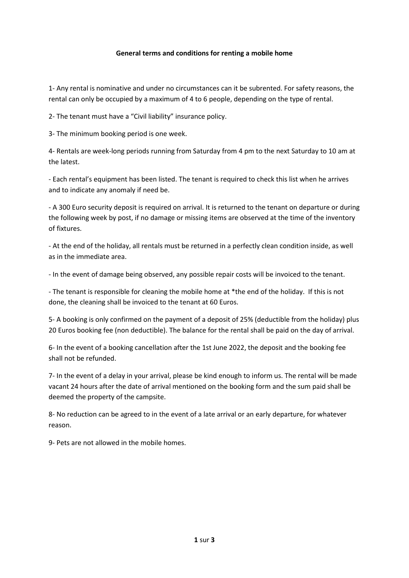## **General terms and conditions for renting a mobile home**

1- Any rental is nominative and under no circumstances can it be subrented. For safety reasons, the rental can only be occupied by a maximum of 4 to 6 people, depending on the type of rental.

2- The tenant must have a "Civil liability" insurance policy.

3- The minimum booking period is one week.

4- Rentals are week-long periods running from Saturday from 4 pm to the next Saturday to 10 am at the latest.

- Each rental's equipment has been listed. The tenant is required to check this list when he arrives and to indicate any anomaly if need be.

- A 300 Euro security deposit is required on arrival. It is returned to the tenant on departure or during the following week by post, if no damage or missing items are observed at the time of the inventory of fixtures.

- At the end of the holiday, all rentals must be returned in a perfectly clean condition inside, as well as in the immediate area.

- In the event of damage being observed, any possible repair costs will be invoiced to the tenant.

- The tenant is responsible for cleaning the mobile home at \*the end of the holiday. If this is not done, the cleaning shall be invoiced to the tenant at 60 Euros.

5- A booking is only confirmed on the payment of a deposit of 25% (deductible from the holiday) plus 20 Euros booking fee (non deductible). The balance for the rental shall be paid on the day of arrival.

6- In the event of a booking cancellation after the 1st June 2022, the deposit and the booking fee shall not be refunded.

7- In the event of a delay in your arrival, please be kind enough to inform us. The rental will be made vacant 24 hours after the date of arrival mentioned on the booking form and the sum paid shall be deemed the property of the campsite.

8- No reduction can be agreed to in the event of a late arrival or an early departure, for whatever reason.

9- Pets are not allowed in the mobile homes.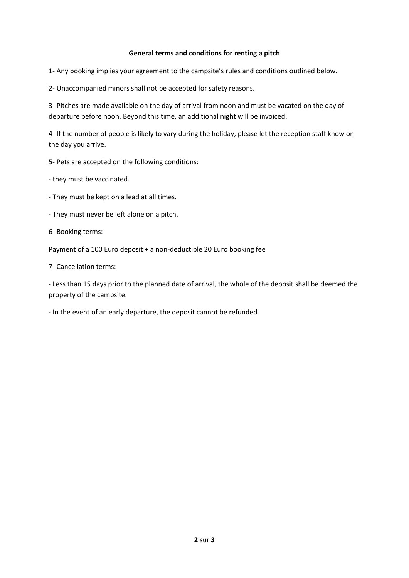## **General terms and conditions for renting a pitch**

1- Any booking implies your agreement to the campsite's rules and conditions outlined below.

2- Unaccompanied minors shall not be accepted for safety reasons.

3- Pitches are made available on the day of arrival from noon and must be vacated on the day of departure before noon. Beyond this time, an additional night will be invoiced.

4- If the number of people is likely to vary during the holiday, please let the reception staff know on the day you arrive.

5- Pets are accepted on the following conditions:

- they must be vaccinated.

- They must be kept on a lead at all times.

- They must never be left alone on a pitch.

6- Booking terms:

Payment of a 100 Euro deposit + a non-deductible 20 Euro booking fee

7- Cancellation terms:

- Less than 15 days prior to the planned date of arrival, the whole of the deposit shall be deemed the property of the campsite.

- In the event of an early departure, the deposit cannot be refunded.